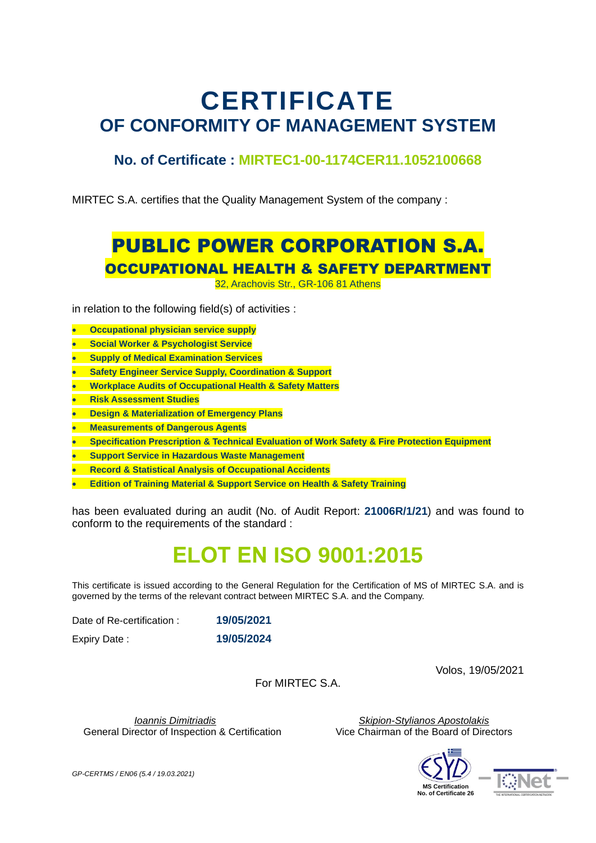# **CERTIFICATE OF CONFORMITY OF MANAGEMENT SYSTEM**

#### **No. of Certificate : MIRTEC1-00-1174CER11.1052100668**

MIRTEC S.A. certifies that the Quality Management System of the company :

### PUBLIC POWER CORPORATION S.A. OCCUPATIONAL HEALTH & SAFETY DEPARTMENT

32, Arachovis Str., GR-106 81 Athens

in relation to the following field(s) of activities :

- **Occupational physician service supply**
- **Social Worker & Psychologist Service**
- **Supply of Medical Examination Services**
- **Safety Engineer Service Supply, Coordination & Support**
- **Workplace Audits of Occupational Health & Safety Matters**
- **Risk Assessment Studies**
- **Design & Materialization of Emergency Plans**
- **Measurements of Dangerous Agents**
- **Specification Prescription & Technical Evaluation of Work Safety & Fire Protection Equipment**
- **Support Service in Hazardous Waste Management**
- **Record & Statistical Analysis of Occupational Accidents**
- **Edition of Training Material & Support Service on Health & Safety Training**

has been evaluated during an audit (No. of Audit Report: **21006R/1/21**) and was found to conform to the requirements of the standard :

### **ΕLΟΤ ΕΝ ISO 9001:2015**

This certificate is issued according to the General Regulation for the Certification of MS of MIRTEC S.A. and is governed by the terms of the relevant contract between MIRTEC S.A. and the Company.

Date of Re-certification : **19/05/2021**

Expiry Date : **19/05/2024**

Volos, 19/05/2021

For MIRTEC S.A.

General Director of Inspection & Certification Vice Chairman of the Board of Directors

 *Ioannis Dimitriadis Skipion-Stylianos Apostolakis*





*GP-CERTΜS / EN06 (5.4 / 19.03.2021)*